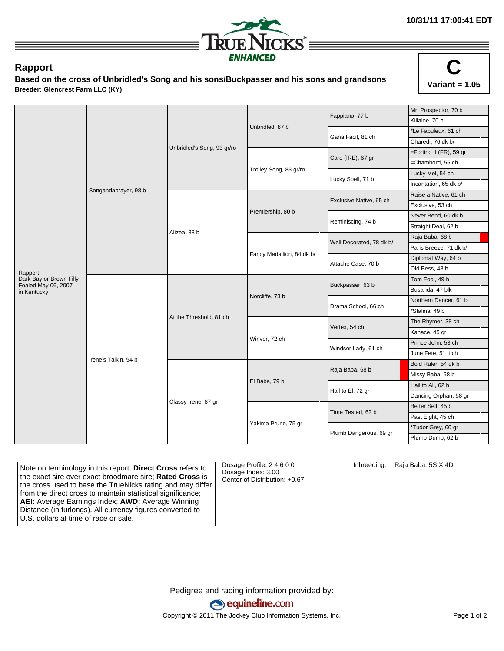

## **Rapport**

**Based on the cross of Unbridled's Song and his sons/Buckpasser and his sons and grandsons Breeder: Glencrest Farm LLC (KY)**



|                                                |                      |                         |                            | Fappiano, 77 b           | Mr. Prospector, 70 b                                                                                                                                                                                                                                                                                                                                               |  |
|------------------------------------------------|----------------------|-------------------------|----------------------------|--------------------------|--------------------------------------------------------------------------------------------------------------------------------------------------------------------------------------------------------------------------------------------------------------------------------------------------------------------------------------------------------------------|--|
|                                                |                      |                         |                            |                          | Killaloe, 70 b                                                                                                                                                                                                                                                                                                                                                     |  |
|                                                |                      |                         | Unbridled, 87 b            | Gana Facil, 81 ch        | *Le Fabuleux, 61 ch<br>Charedi, 76 dk b/<br>=Fortino II (FR), 59 gr<br>=Chambord, 55 ch<br>Lucky Mel, 54 ch<br>Incantation, 65 dk b/<br>Raise a Native, 61 ch<br>Exclusive, 53 ch<br>Never Bend, 60 dk b<br>Straight Deal, 62 b                                                                                                                                    |  |
|                                                |                      |                         | Unbridled's Song, 93 gr/ro |                          |                                                                                                                                                                                                                                                                                                                                                                    |  |
|                                                |                      |                         |                            | Caro (IRE), 67 gr        |                                                                                                                                                                                                                                                                                                                                                                    |  |
|                                                |                      |                         |                            |                          | Raja Baba, 68 b<br>Paris Breeze, 71 dk b/<br>Diplomat Way, 64 b<br>Old Bess, 48 b<br>Tom Fool, 49 b<br>Busanda, 47 blk<br>Northern Dancer, 61 b<br>*Stalina, 49 b<br>The Rhymer, 38 ch<br>Kanace, 45 gr<br>Prince John, 53 ch<br>June Fete, 51 It ch<br>Bold Ruler, 54 dk b<br>Missy Baba, 58 b<br>Hail to All, 62 b<br>Dancing Orphan, 58 gr<br>Better Self, 45 b |  |
|                                                |                      |                         | Trolley Song, 83 gr/ro     | Lucky Spell, 71 b        |                                                                                                                                                                                                                                                                                                                                                                    |  |
|                                                | Songandaprayer, 98 b |                         |                            |                          |                                                                                                                                                                                                                                                                                                                                                                    |  |
|                                                |                      |                         | Premiership, 80 b          | Exclusive Native, 65 ch  |                                                                                                                                                                                                                                                                                                                                                                    |  |
|                                                |                      |                         |                            |                          |                                                                                                                                                                                                                                                                                                                                                                    |  |
|                                                |                      | Alizea, 88 b            |                            | Reminiscing, 74 b        |                                                                                                                                                                                                                                                                                                                                                                    |  |
|                                                |                      |                         |                            |                          |                                                                                                                                                                                                                                                                                                                                                                    |  |
|                                                |                      |                         |                            | Well Decorated, 78 dk b/ |                                                                                                                                                                                                                                                                                                                                                                    |  |
|                                                |                      |                         |                            |                          |                                                                                                                                                                                                                                                                                                                                                                    |  |
|                                                |                      |                         | Fancy Medallion, 84 dk b/  | Attache Case, 70 b       |                                                                                                                                                                                                                                                                                                                                                                    |  |
| Rapport                                        |                      |                         |                            |                          |                                                                                                                                                                                                                                                                                                                                                                    |  |
| Dark Bay or Brown Filly<br>Foaled May 06, 2007 |                      | At the Threshold, 81 ch | Norcliffe, 73 b            | Buckpasser, 63 b         |                                                                                                                                                                                                                                                                                                                                                                    |  |
| in Kentucky                                    |                      |                         |                            |                          |                                                                                                                                                                                                                                                                                                                                                                    |  |
|                                                |                      |                         |                            | Drama School, 66 ch      |                                                                                                                                                                                                                                                                                                                                                                    |  |
|                                                |                      |                         |                            |                          |                                                                                                                                                                                                                                                                                                                                                                    |  |
|                                                |                      |                         | Winver, 72 ch              | Vertex, 54 ch            |                                                                                                                                                                                                                                                                                                                                                                    |  |
|                                                |                      |                         |                            |                          |                                                                                                                                                                                                                                                                                                                                                                    |  |
|                                                |                      |                         |                            | Windsor Lady, 61 ch      |                                                                                                                                                                                                                                                                                                                                                                    |  |
|                                                |                      |                         |                            |                          |                                                                                                                                                                                                                                                                                                                                                                    |  |
|                                                | Irene's Talkin, 94 b | Classy Irene, 87 gr     | El Baba, 79 b              | Raja Baba, 68 b          |                                                                                                                                                                                                                                                                                                                                                                    |  |
|                                                |                      |                         |                            |                          |                                                                                                                                                                                                                                                                                                                                                                    |  |
|                                                |                      |                         |                            | Hail to El, 72 gr        |                                                                                                                                                                                                                                                                                                                                                                    |  |
|                                                |                      |                         |                            |                          |                                                                                                                                                                                                                                                                                                                                                                    |  |
|                                                |                      |                         |                            | Time Tested, 62 b        |                                                                                                                                                                                                                                                                                                                                                                    |  |
|                                                |                      |                         |                            |                          | Past Eight, 45 ch                                                                                                                                                                                                                                                                                                                                                  |  |
|                                                |                      |                         | Yakima Prune, 75 gr        | Plumb Dangerous, 69 gr   | *Tudor Grey, 60 gr                                                                                                                                                                                                                                                                                                                                                 |  |
|                                                |                      |                         |                            |                          | Plumb Dumb, 62 b                                                                                                                                                                                                                                                                                                                                                   |  |

Note on terminology in this report: **Direct Cross** refers to the exact sire over exact broodmare sire; **Rated Cross** is the cross used to base the TrueNicks rating and may differ from the direct cross to maintain statistical significance; **AEI:** Average Earnings Index; **AWD:** Average Winning Distance (in furlongs). All currency figures converted to U.S. dollars at time of race or sale.

Dosage Profile: 2 4 6 0 0 Dosage Index: 3.00 Center of Distribution: +0.67 Inbreeding: Raja Baba: 5S X 4D

Pedigree and racing information provided by: equineline.com Copyright © 2011 The Jockey Club Information Systems, Inc. example 2012 Page 1 of 2